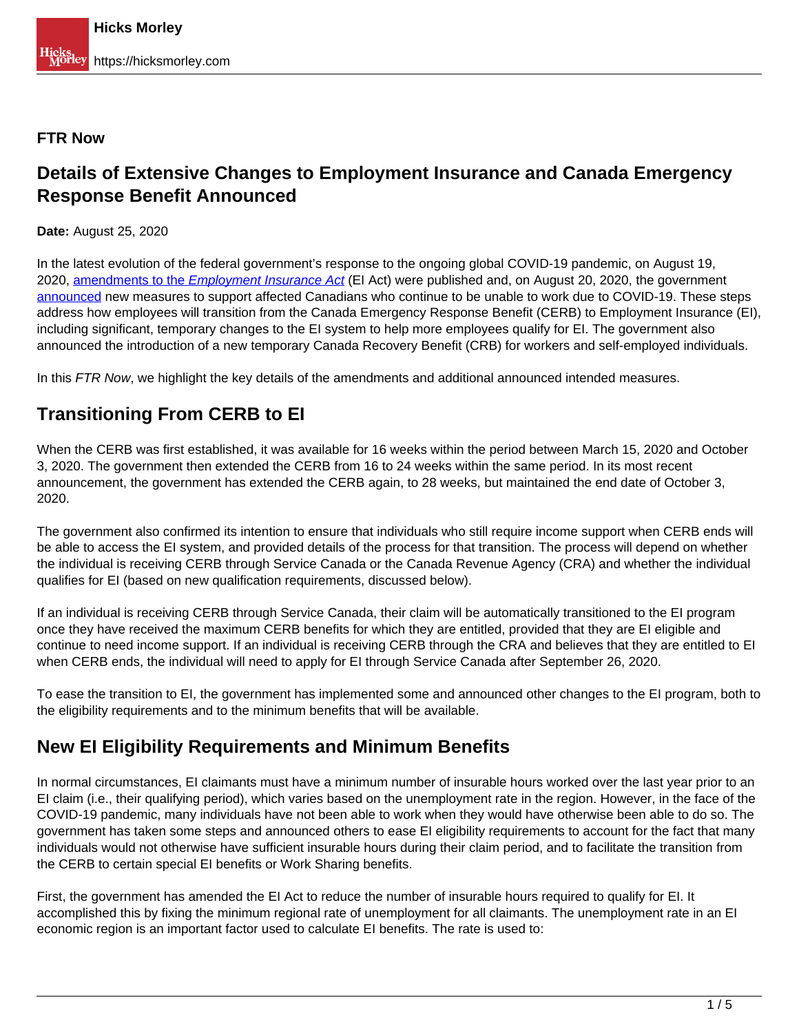#### **FTR Now**

## **Details of Extensive Changes to Employment Insurance and Canada Emergency Response Benefit Announced**

**Date:** August 25, 2020

In the latest evolution of the federal government's response to the ongoing global COVID-19 pandemic, on August 19, 2020, [amendments to the](http://www.gazette.gc.ca/rp-pr/p2/2020/2020-08-19/html/sor-dors173-eng.html) *[Employment](http://www.gazette.gc.ca/rp-pr/p2/2020/2020-08-19/html/sor-dors173-eng.html) [Insurance](http://www.gazette.gc.ca/rp-pr/p2/2020/2020-08-19/html/sor-dors173-eng.html) [Act](http://www.gazette.gc.ca/rp-pr/p2/2020/2020-08-19/html/sor-dors173-eng.html)* (EI Act) were published and, on August 20, 2020, the government announced new measures to support affected Canadians who continue to be unable to work due to COVID-19. These steps address how employees will transition from the Canada Emergency Response Benefit (CERB) to Employment Insurance (EI), including significant, temporary changes to the EI system to help more employees qualify for EI. The government also announced the introduction of a new temporary Canada Recovery Benefit (CRB) for workers and self-employed individuals.

In this FTR Now, we highlight the key details of the amendments and additional announced intended measures.

## **Transitioning From CERB to EI**

When the CERB was first established, it was available for 16 weeks within the period between March 15, 2020 and October 3, 2020. The government then extended the CERB from 16 to 24 weeks within the same period. In its most recent announcement, the government has extended the CERB again, to 28 weeks, but maintained the end date of October 3, 2020.

The government also confirmed its intention to ensure that individuals who still require income support when CERB ends will be able to access the EI system, and provided details of the process for that transition. The process will depend on whether the individual is receiving CERB through Service Canada or the Canada Revenue Agency (CRA) and whether the individual qualifies for EI (based on new qualification requirements, discussed below).

If an individual is receiving CERB through Service Canada, their claim will be automatically transitioned to the EI program once they have received the maximum CERB benefits for which they are entitled, provided that they are EI eligible and continue to need income support. If an individual is receiving CERB through the CRA and believes that they are entitled to EI when CERB ends, the individual will need to apply for EI through Service Canada after September 26, 2020.

To ease the transition to EI, the government has implemented some and announced other changes to the EI program, both to the eligibility requirements and to the minimum benefits that will be available.

## **New EI Eligibility Requirements and Minimum Benefits**

In normal circumstances, EI claimants must have a minimum number of insurable hours worked over the last year prior to an EI claim (i.e., their qualifying period), which varies based on the unemployment rate in the region. However, in the face of the COVID-19 pandemic, many individuals have not been able to work when they would have otherwise been able to do so. The government has taken some steps and announced others to ease EI eligibility requirements to account for the fact that many individuals would not otherwise have sufficient insurable hours during their claim period, and to facilitate the transition from the CERB to certain special EI benefits or Work Sharing benefits.

First, the government has amended the EI Act to reduce the number of insurable hours required to qualify for EI. It accomplished this by fixing the minimum regional rate of unemployment for all claimants. The unemployment rate in an EI economic region is an important factor used to calculate EI benefits. The rate is used to: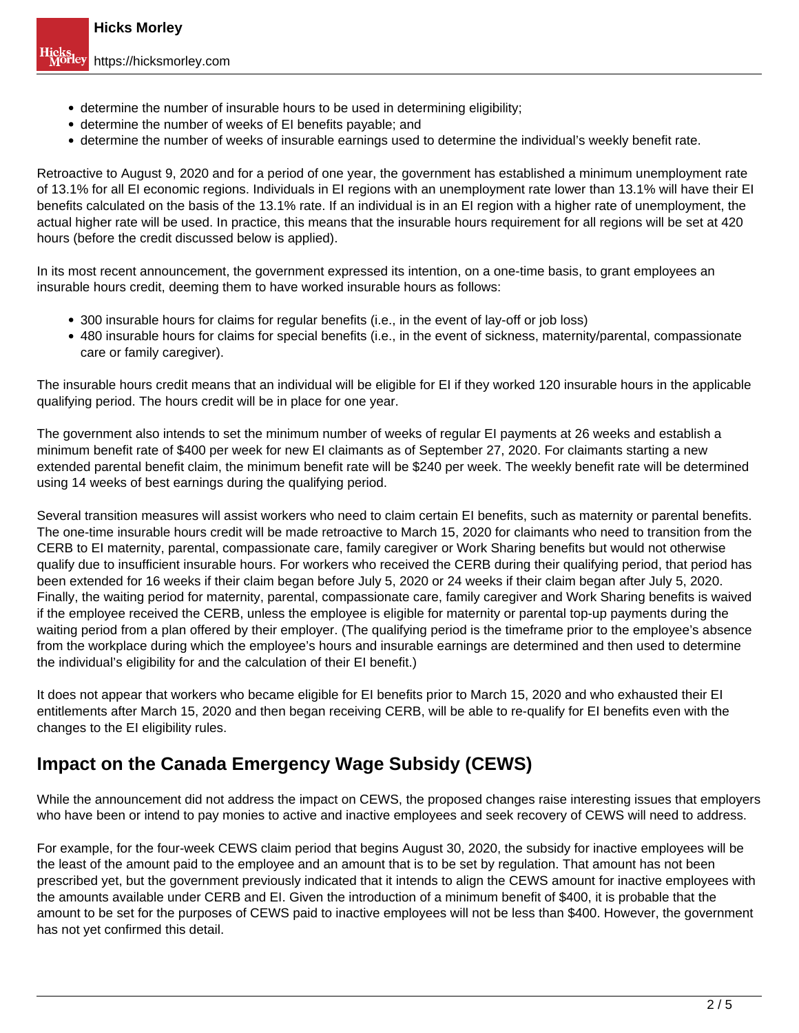- determine the number of insurable hours to be used in determining eligibility;
- determine the number of weeks of EI benefits payable; and
- determine the number of weeks of insurable earnings used to determine the individual's weekly benefit rate.

Retroactive to August 9, 2020 and for a period of one year, the government has established a minimum unemployment rate of 13.1% for all EI economic regions. Individuals in EI regions with an unemployment rate lower than 13.1% will have their EI benefits calculated on the basis of the 13.1% rate. If an individual is in an EI region with a higher rate of unemployment, the actual higher rate will be used. In practice, this means that the insurable hours requirement for all regions will be set at 420 hours (before the credit discussed below is applied).

In its most recent announcement, the government expressed its intention, on a one-time basis, to grant employees an insurable hours credit, deeming them to have worked insurable hours as follows:

- 300 insurable hours for claims for regular benefits (i.e., in the event of lay-off or job loss)
- 480 insurable hours for claims for special benefits (i.e., in the event of sickness, maternity/parental, compassionate care or family caregiver).

The insurable hours credit means that an individual will be eligible for EI if they worked 120 insurable hours in the applicable qualifying period. The hours credit will be in place for one year.

The government also intends to set the minimum number of weeks of regular EI payments at 26 weeks and establish a minimum benefit rate of \$400 per week for new EI claimants as of September 27, 2020. For claimants starting a new extended parental benefit claim, the minimum benefit rate will be \$240 per week. The weekly benefit rate will be determined using 14 weeks of best earnings during the qualifying period.

Several transition measures will assist workers who need to claim certain EI benefits, such as maternity or parental benefits. The one-time insurable hours credit will be made retroactive to March 15, 2020 for claimants who need to transition from the CERB to EI maternity, parental, compassionate care, family caregiver or Work Sharing benefits but would not otherwise qualify due to insufficient insurable hours. For workers who received the CERB during their qualifying period, that period has been extended for 16 weeks if their claim began before July 5, 2020 or 24 weeks if their claim began after July 5, 2020. Finally, the waiting period for maternity, parental, compassionate care, family caregiver and Work Sharing benefits is waived if the employee received the CERB, unless the employee is eligible for maternity or parental top-up payments during the waiting period from a plan offered by their employer. (The qualifying period is the timeframe prior to the employee's absence from the workplace during which the employee's hours and insurable earnings are determined and then used to determine the individual's eligibility for and the calculation of their EI benefit.)

It does not appear that workers who became eligible for EI benefits prior to March 15, 2020 and who exhausted their EI entitlements after March 15, 2020 and then began receiving CERB, will be able to re-qualify for EI benefits even with the changes to the EI eligibility rules.

## **Impact on the Canada Emergency Wage Subsidy (CEWS)**

While the announcement did not address the impact on CEWS, the proposed changes raise interesting issues that employers who have been or intend to pay monies to active and inactive employees and seek recovery of CEWS will need to address.

For example, for the four-week CEWS claim period that begins August 30, 2020, the subsidy for inactive employees will be the least of the amount paid to the employee and an amount that is to be set by regulation. That amount has not been prescribed yet, but the government previously indicated that it intends to align the CEWS amount for inactive employees with the amounts available under CERB and EI. Given the introduction of a minimum benefit of \$400, it is probable that the amount to be set for the purposes of CEWS paid to inactive employees will not be less than \$400. However, the government has not yet confirmed this detail.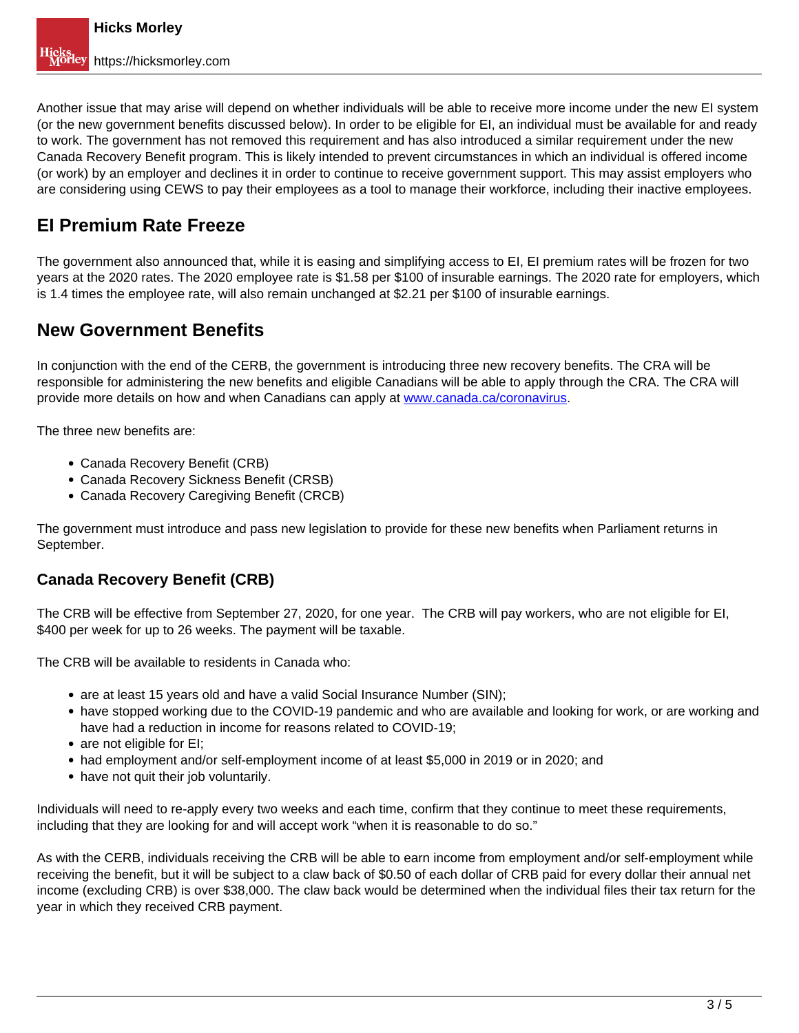Another issue that may arise will depend on whether individuals will be able to receive more income under the new EI system (or the new government benefits discussed below). In order to be eligible for EI, an individual must be available for and ready to work. The government has not removed this requirement and has also introduced a similar requirement under the new Canada Recovery Benefit program. This is likely intended to prevent circumstances in which an individual is offered income (or work) by an employer and declines it in order to continue to receive government support. This may assist employers who are considering using CEWS to pay their employees as a tool to manage their workforce, including their inactive employees.

# **EI Premium Rate Freeze**

The government also announced that, while it is easing and simplifying access to EI, EI premium rates will be frozen for two years at the 2020 rates. The 2020 employee rate is \$1.58 per \$100 of insurable earnings. The 2020 rate for employers, which is 1.4 times the employee rate, will also remain unchanged at \$2.21 per \$100 of insurable earnings.

## **New Government Benefits**

In conjunction with the end of the CERB, the government is introducing three new recovery benefits. The CRA will be responsible for administering the new benefits and eligible Canadians will be able to apply through the CRA. The CRA will provide more details on how and when Canadians can apply at www.canada.ca/coronavirus.

The three new benefits are:

- Canada Recovery Benefit (CRB)
- Canada Recovery Sickness Benefit (CRSB)
- Canada Recovery Caregiving Benefit (CRCB)

The government must introduce and pass new legislation to provide for these new benefits when Parliament returns in September.

### **Canada Recovery Benefit (CRB)**

The CRB will be effective from September 27, 2020, for one year. The CRB will pay workers, who are not eligible for EI, \$400 per week for up to 26 weeks. The payment will be taxable.

The CRB will be available to residents in Canada who:

- are at least 15 years old and have a valid Social Insurance Number (SIN);
- have stopped working due to the COVID-19 pandemic and who are available and looking for work, or are working and have had a reduction in income for reasons related to COVID-19;
- are not eligible for EI:
- had employment and/or self-employment income of at least \$5,000 in 2019 or in 2020; and
- have not quit their job voluntarily.

Individuals will need to re-apply every two weeks and each time, confirm that they continue to meet these requirements, including that they are looking for and will accept work "when it is reasonable to do so."

As with the CERB, individuals receiving the CRB will be able to earn income from employment and/or self-employment while receiving the benefit, but it will be subject to a claw back of \$0.50 of each dollar of CRB paid for every dollar their annual net income (excluding CRB) is over \$38,000. The claw back would be determined when the individual files their tax return for the year in which they received CRB payment.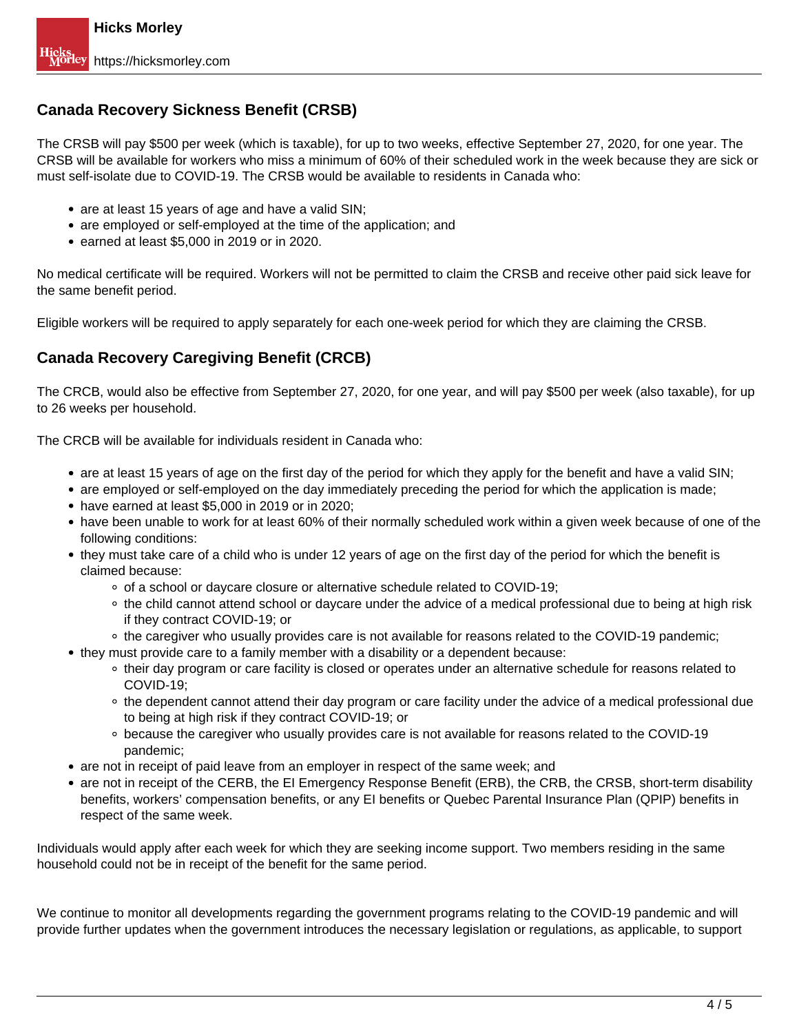### **Canada Recovery Sickness Benefit (CRSB)**

The CRSB will pay \$500 per week (which is taxable), for up to two weeks, effective September 27, 2020, for one year. The CRSB will be available for workers who miss a minimum of 60% of their scheduled work in the week because they are sick or must self-isolate due to COVID-19. The CRSB would be available to residents in Canada who:

- are at least 15 years of age and have a valid SIN;
- are employed or self-employed at the time of the application; and
- earned at least \$5,000 in 2019 or in 2020.

No medical certificate will be required. Workers will not be permitted to claim the CRSB and receive other paid sick leave for the same benefit period.

Eligible workers will be required to apply separately for each one-week period for which they are claiming the CRSB.

### **Canada Recovery Caregiving Benefit (CRCB)**

The CRCB, would also be effective from September 27, 2020, for one year, and will pay \$500 per week (also taxable), for up to 26 weeks per household.

The CRCB will be available for individuals resident in Canada who:

- are at least 15 years of age on the first day of the period for which they apply for the benefit and have a valid SIN;
- are employed or self-employed on the day immediately preceding the period for which the application is made;
- have earned at least \$5,000 in 2019 or in 2020;
- have been unable to work for at least 60% of their normally scheduled work within a given week because of one of the following conditions:
- they must take care of a child who is under 12 years of age on the first day of the period for which the benefit is claimed because:
	- of a school or daycare closure or alternative schedule related to COVID-19;
	- the child cannot attend school or daycare under the advice of a medical professional due to being at high risk if they contract COVID-19; or
	- the caregiver who usually provides care is not available for reasons related to the COVID-19 pandemic;
- they must provide care to a family member with a disability or a dependent because:
	- their day program or care facility is closed or operates under an alternative schedule for reasons related to COVID-19;
	- the dependent cannot attend their day program or care facility under the advice of a medical professional due to being at high risk if they contract COVID-19; or
	- because the caregiver who usually provides care is not available for reasons related to the COVID-19 pandemic;
- are not in receipt of paid leave from an employer in respect of the same week; and
- are not in receipt of the CERB, the EI Emergency Response Benefit (ERB), the CRB, the CRSB, short-term disability benefits, workers' compensation benefits, or any EI benefits or Quebec Parental Insurance Plan (QPIP) benefits in respect of the same week.

Individuals would apply after each week for which they are seeking income support. Two members residing in the same household could not be in receipt of the benefit for the same period.

We continue to monitor all developments regarding the government programs relating to the COVID-19 pandemic and will provide further updates when the government introduces the necessary legislation or regulations, as applicable, to support